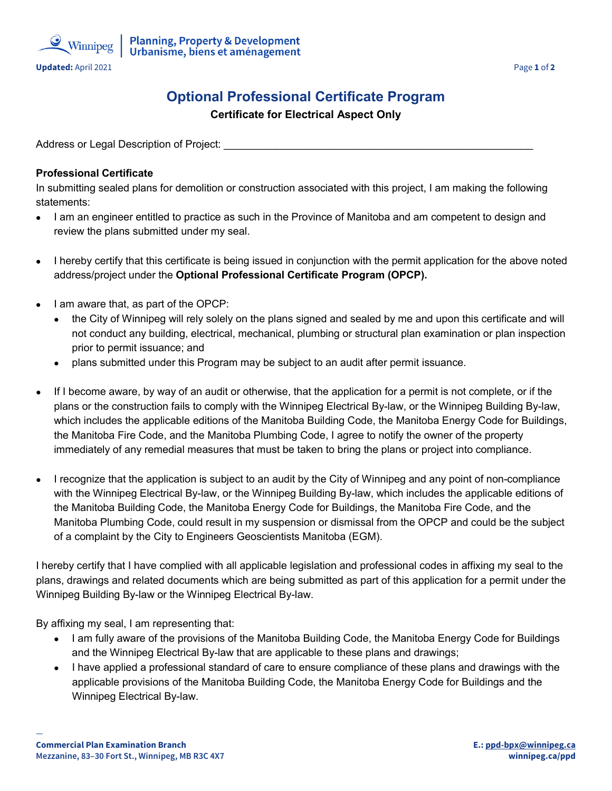

## **Optional Professional Certificate Program**

**Certificate for Electrical Aspect Only**

Address or Legal Description of Project:

## **Professional Certificate**

In submitting sealed plans for demolition or construction associated with this project, I am making the following statements:

- I am an engineer entitled to practice as such in the Province of Manitoba and am competent to design and review the plans submitted under my seal.
- I hereby certify that this certificate is being issued in conjunction with the permit application for the above noted address/project under the **Optional Professional Certificate Program (OPCP).**
- I am aware that, as part of the OPCP:
	- the City of Winnipeg will rely solely on the plans signed and sealed by me and upon this certificate and will not conduct any building, electrical, mechanical, plumbing or structural plan examination or plan inspection prior to permit issuance; and
	- plans submitted under this Program may be subject to an audit after permit issuance.
- If I become aware, by way of an audit or otherwise, that the application for a permit is not complete, or if the plans or the construction fails to comply with the Winnipeg Electrical By-law, or the Winnipeg Building By-law, which includes the applicable editions of the Manitoba Building Code, the Manitoba Energy Code for Buildings, the Manitoba Fire Code, and the Manitoba Plumbing Code, I agree to notify the owner of the property immediately of any remedial measures that must be taken to bring the plans or project into compliance.
- I recognize that the application is subject to an audit by the City of Winnipeg and any point of non-compliance with the Winnipeg Electrical By-law, or the Winnipeg Building By-law, which includes the applicable editions of the Manitoba Building Code, the Manitoba Energy Code for Buildings, the Manitoba Fire Code, and the Manitoba Plumbing Code, could result in my suspension or dismissal from the OPCP and could be the subject of a complaint by the City to Engineers Geoscientists Manitoba (EGM).

I hereby certify that I have complied with all applicable legislation and professional codes in affixing my seal to the plans, drawings and related documents which are being submitted as part of this application for a permit under the Winnipeg Building By-law or the Winnipeg Electrical By-law.

By affixing my seal, I am representing that:

- I am fully aware of the provisions of the Manitoba Building Code, the Manitoba Energy Code for Buildings and the Winnipeg Electrical By-law that are applicable to these plans and drawings;
- I have applied a professional standard of care to ensure compliance of these plans and drawings with the applicable provisions of the Manitoba Building Code, the Manitoba Energy Code for Buildings and the Winnipeg Electrical By-law.